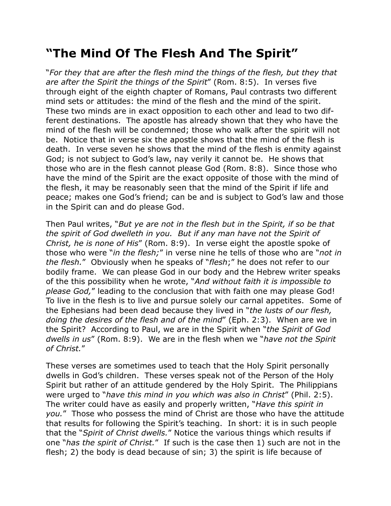## **"The Mind Of The Flesh And The Spirit"**

"*For they that are after the flesh mind the things of the flesh, but they that are after the Spirit the things of the Spirit*" (Rom. 8:5). In verses five through eight of the eighth chapter of Romans, Paul contrasts two different mind sets or attitudes: the mind of the flesh and the mind of the spirit. These two minds are in exact opposition to each other and lead to two different destinations. The apostle has already shown that they who have the mind of the flesh will be condemned; those who walk after the spirit will not be. Notice that in verse six the apostle shows that the mind of the flesh is death. In verse seven he shows that the mind of the flesh is enmity against God; is not subject to God's law, nay verily it cannot be. He shows that those who are in the flesh cannot please God (Rom. 8:8). Since those who have the mind of the Spirit are the exact opposite of those with the mind of the flesh, it may be reasonably seen that the mind of the Spirit if life and peace; makes one God's friend; can be and is subject to God's law and those in the Spirit can and do please God.

Then Paul writes, "*But ye are not in the flesh but in the Spirit, if so be that the spirit of God dwelleth in you. But if any man have not the Spirit of Christ, he is none of His*" (Rom. 8:9). In verse eight the apostle spoke of those who were "*in the flesh;*" in verse nine he tells of those who are "*not in the flesh.*" Obviously when he speaks of "*flesh*;" he does not refer to our bodily frame. We can please God in our body and the Hebrew writer speaks of the this possibility when he wrote, "*And without faith it is impossible to please God,*" leading to the conclusion that with faith one may please God! To live in the flesh is to live and pursue solely our carnal appetites. Some of the Ephesians had been dead because they lived in "*the lusts of our flesh, doing the desires of the flesh and of the mind*" (Eph. 2:3). When are we in the Spirit? According to Paul, we are in the Spirit when "*the Spirit of God dwells in us*" (Rom. 8:9). We are in the flesh when we "*have not the Spirit of Christ.*"

These verses are sometimes used to teach that the Holy Spirit personally dwells in God's children. These verses speak not of the Person of the Holy Spirit but rather of an attitude gendered by the Holy Spirit. The Philippians were urged to "*have this mind in you which was also in Christ*" (Phil. 2:5). The writer could have as easily and properly written, "*Have this spirit in you.*" Those who possess the mind of Christ are those who have the attitude that results for following the Spirit's teaching. In short: it is in such people that the "*Spirit of Christ dwells.*" Notice the various things which results if one "*has the spirit of Christ.*" If such is the case then 1) such are not in the flesh; 2) the body is dead because of sin; 3) the spirit is life because of